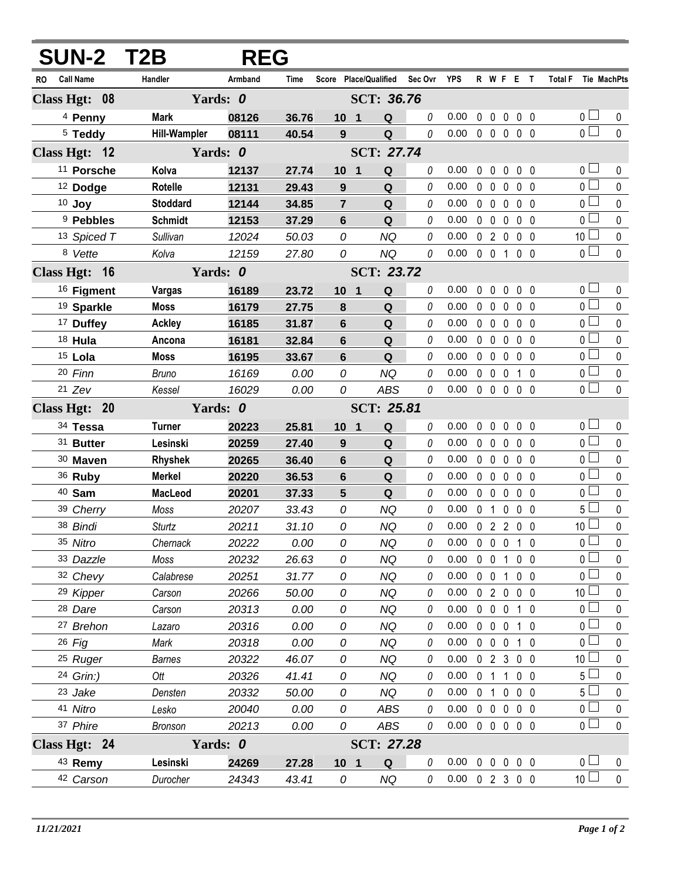| <b>SUN-2 T2B</b>        |                     | <b>REG</b> |       |                       |                   |          |                    |                |                   |                |                   |                       |             |
|-------------------------|---------------------|------------|-------|-----------------------|-------------------|----------|--------------------|----------------|-------------------|----------------|-------------------|-----------------------|-------------|
| <b>Call Name</b><br>RO. | Handler             | Armband    | Time  | Score Place/Qualified |                   | Sec Ovr  | <b>YPS</b>         |                |                   |                | R W F E T         | Total F Tie MachPts   |             |
| Class Hgt: 08           |                     | Yards: 0   |       |                       | SCT: 36.76        |          |                    |                |                   |                |                   |                       |             |
| <sup>4</sup> Penny      | Mark                | 08126      | 36.76 | 10 <sub>1</sub>       | Q                 | 0        | 0.00               |                |                   |                | 00000             | 0 <sub>l</sub>        | 0           |
| $5$ Teddy               | <b>Hill-Wampler</b> | 08111      | 40.54 | 9                     | Q                 | 0        | 0.00               |                |                   |                | 00000             | $\overline{0}$        | $\mathbf 0$ |
| Class Hgt: 12           |                     | Yards: 0   |       |                       | <b>SCT: 27.74</b> |          |                    |                |                   |                |                   |                       |             |
| <sup>11</sup> Porsche   | Kolva               | 12137      | 27.74 | 10 <sub>1</sub>       | Q                 | 0        | 0.00               | $\mathbf{0}$   | $\mathbf 0$       |                | $0\quad 0\quad 0$ | 0 <sub>0</sub>        | 0           |
| <sup>12</sup> Dodge     | <b>Rotelle</b>      | 12131      | 29.43 | 9                     | Q                 | 0        | 0.00               |                | $0\quad 0$        | $\mathbf 0$    | $0\quad 0$        | $\overline{0}$        | $\mathbf 0$ |
| 10 Joy                  | <b>Stoddard</b>     | 12144      | 34.85 | $\overline{7}$        | Q                 | 0        | 0.00               |                | $0\quad 0$        | $\mathbf 0$    | $0\quad 0$        | 0 <sub>0</sub>        | $\mathbf 0$ |
| <sup>9</sup> Pebbles    | <b>Schmidt</b>      | 12153      | 37.29 | $6\phantom{1}$        | Q                 | 0        | 0.00               |                | $0\quad 0$        | $\mathbf 0$    | 0 <sub>0</sub>    | 0 <sub>0</sub>        | $\pmb{0}$   |
| 13 Spiced T             | Sullivan            | 12024      | 50.03 | 0                     | <b>NQ</b>         | 0        | 0.00               |                |                   |                | 02000             | 10 <sup>1</sup>       | $\mathbf 0$ |
| 8 Vette                 | Kolva               | 12159      | 27.80 | 0                     | <b>NQ</b>         | 0        | 0.00               |                | $0 \t0 \t1$       |                | 0 <sub>0</sub>    | $\overline{0}$ $\Box$ | $\mathbf 0$ |
| Class Hgt: 16           |                     | Yards: 0   |       |                       | <b>SCT: 23.72</b> |          |                    |                |                   |                |                   |                       |             |
| <sup>16</sup> Figment   | Vargas              | 16189      | 23.72 | 10 <sub>1</sub>       | Q                 | 0        | 0.00               | $\mathbf{0}$   | $\overline{0}$    | 0              | $0\quad 0$        | 0 <sub>0</sub>        | 0           |
| <sup>19</sup> Sparkle   | <b>Moss</b>         | 16179      | 27.75 | 8                     | Q                 | 0        | 0.00               |                | $0\quad 0$        | $\mathbf 0$    | 0 <sub>0</sub>    | $\overline{0}$        | $\mathbf 0$ |
| <sup>17</sup> Duffey    | <b>Ackley</b>       | 16185      | 31.87 | $6\phantom{1}$        | Q                 | 0        | 0.00               |                | $0\quad 0$        | 0              | $0\quad 0$        | 0 <sub>0</sub>        | $\pmb{0}$   |
| 18 Hula                 | Ancona              | 16181      | 32.84 | 6                     | Q                 | 0        | 0.00               |                | $0\quad 0$        | $\mathbf{0}$   | 0 <sub>0</sub>    | 0 <sup>1</sup>        | $\mathbf 0$ |
| $15$ Lola               | Moss                | 16195      | 33.67 | $6\phantom{1}$        | Q                 | 0        | 0.00               |                | $0\quad 0$        | $\mathbf{0}$   | 0 <sub>0</sub>    | 0 <sub>0</sub>        | $\pmb{0}$   |
| 20 Finn                 | <b>Bruno</b>        | 16169      | 0.00  | 0                     | <b>NQ</b>         | 0        | 0.00               |                | $0\quad 0$        | $\mathbf 0$    | $1\quad0$         | $\overline{0}$        | $\pmb{0}$   |
| $21$ Zev                | Kessel              | 16029      | 0.00  | 0                     | <b>ABS</b>        | $\theta$ | 0.00               |                | $0\quad 0$        |                | $0\quad 0\quad 0$ | $\overline{0}$        | $\mathbf 0$ |
| Class Hgt: 20           |                     | Yards: 0   |       |                       | SCT: 25.81        |          |                    |                |                   |                |                   |                       |             |
| 34 Tessa                | <b>Turner</b>       | 20223      | 25.81 | 10 <sub>1</sub>       | Q                 | $\theta$ | 0.00               | $\mathbf 0$    | $\mathbf 0$       | $\mathbf 0$    | $0\quad 0$        | 0 <sub>0</sub>        | 0           |
| 31 Butter               | Lesinski            | 20259      | 27.40 | 9                     | Q                 | 0        | 0.00               | $\mathbf 0$    | $\overline{0}$    | $\mathbf{0}$   | 0 <sub>0</sub>    | $0\square$            | 0           |
| 30 Maven                | <b>Rhyshek</b>      | 20265      | 36.40 | 6                     | Q                 | $\theta$ | 0.00               |                | $0\quad 0$        | $\mathbf{0}$   | 0 <sub>0</sub>    | 0 <sub>0</sub>        | 0           |
| 36 Ruby                 | <b>Merkel</b>       | 20220      | 36.53 | 6                     | Q                 | 0        | 0.00               |                | $0\quad 0$        | $\mathbf{0}$   | 0 <sub>0</sub>    | 0 <sub>0</sub>        | $\mathbf 0$ |
| 40 Sam                  | MacLeod             | 20201      | 37.33 | $5\phantom{1}$        | Q                 | $\theta$ | 0.00               |                | $0\quad 0$        | $\mathbf 0$    | 0 <sub>0</sub>    | 0 <sup>1</sup>        | 0           |
| 39 Cherry               | Moss                | 20207      | 33.43 | 0                     | <b>NQ</b>         | 0        | 0.00               | $\mathbf{0}$   | $\overline{1}$    | 0              | 0 <sub>0</sub>    | 5 l                   | $\mathbf 0$ |
| 38 Bindi                | <b>Sturtz</b>       | 20211      | 31.10 | 0                     | <b>NQ</b>         | 0        | 0.00               |                |                   |                | 0 2 2 0 0         | 10 <sup>1</sup>       | $\mathbf 0$ |
| 35 Nitro                | Chernack            | 20222      | 0.00  | 0                     | NQ                |          | 0.00               |                |                   |                | 00010             | $\overline{0}$        | 0           |
| 33 Dazzle               | Moss                | 20232      | 26.63 | 0                     | <b>NQ</b>         | 0        | 0.00               |                | $0\quad 0$        | $\overline{1}$ | 0 <sub>0</sub>    | 0 l                   | 0           |
| 32 Chevy                | Calabrese           | 20251      | 31.77 | 0                     | <b>NQ</b>         | 0        | 0.00               |                | $0\quad 0$        | 1              | $0\quad 0$        | 0 l                   | 0           |
| 29 Kipper               | Carson              | 20266      | 50.00 | 0                     | <b>NQ</b>         | 0        | 0.00               |                |                   |                | 02000             | 10 <sup>1</sup>       | 0           |
| 28 Dare                 | Carson              | 20313      | 0.00  | 0                     | <b>NQ</b>         | 0        | 0.00               |                | $0\quad 0\quad 0$ |                | 1 0               | 0 <sub>0</sub>        | 0           |
| 27 Brehon               | Lazaro              | 20316      | 0.00  | 0                     | <b>NQ</b>         | 0        | 0.00               |                | $0\quad 0\quad 0$ |                | 1 0               | 0 l                   | 0           |
| $26$ Fig                | Mark                | 20318      | 0.00  | 0                     | <b>NQ</b>         | 0        | 0.00               |                | $0\quad 0$        | $\mathbf 0$    | 10                | 0 I                   | 0           |
| 25 Ruger                | <b>Barnes</b>       | 20322      | 46.07 | 0                     | <b>NQ</b>         | 0        | 0.00               |                |                   |                | 02300             | 10 <sup>°</sup>       | 0           |
| 24 Grin:)               | Ott                 | 20326      | 41.41 | 0                     | <b>NQ</b>         | 0        | 0.00               | 0 <sub>1</sub> |                   | $\overline{1}$ | $0\quad 0$        | 5 l                   | 0           |
| 23 Jake                 | Densten             | 20332      | 50.00 | 0                     | <b>NQ</b>         | 0        | 0.00               |                | 0 <sub>1</sub>    | $\mathbf 0$    | $0\quad 0$        | 5 <sup>1</sup>        | 0           |
| 41 Nitro                | Lesko               | 20040      | 0.00  | 0                     | ABS               | 0        | 0.00               |                | $0\quad 0$        |                | $0\quad 0\quad 0$ | 0 <sub>1</sub>        | 0           |
| 37 Phire                | <b>Bronson</b>      | 20213      | 0.00  | 0                     | ABS               | 0        | 0.00               |                |                   |                | 00000             | 0 <sub>1</sub>        | $\mathbf 0$ |
| Class Hgt: 24           |                     | Yards: 0   |       | SCT: 27.28            |                   |          |                    |                |                   |                |                   |                       |             |
| 43 Remy                 | Lesinski            | 24269      | 27.28 | 10 <sub>1</sub>       | Q                 | 0        | 0.00               |                | $0\quad 0$        |                | $0\quad 0\quad 0$ | 0 <sub>1</sub>        | 0           |
| 42 Carson               | Durocher            | 24343      | 43.41 | 0                     | <b>NQ</b>         | 0        | $0.00 \t0 2 3 0 0$ |                |                   |                |                   | 10 <sup>1</sup>       | $\pmb{0}$   |